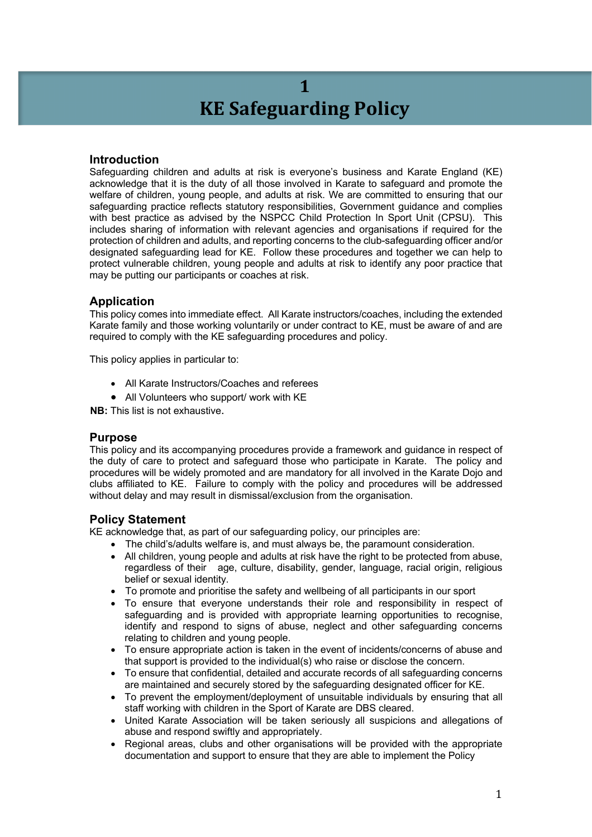# **1 KE** Safeguarding Policy

# **Introduction**

Safeguarding children and adults at risk is everyone's business and Karate England (KE) acknowledge that it is the duty of all those involved in Karate to safeguard and promote the welfare of children, young people, and adults at risk. We are committed to ensuring that our safeguarding practice reflects statutory responsibilities, Government guidance and complies with best practice as advised by the NSPCC Child Protection In Sport Unit (CPSU). This includes sharing of information with relevant agencies and organisations if required for the protection of children and adults, and reporting concerns to the club-safeguarding officer and/or designated safeguarding lead for KE. Follow these procedures and together we can help to protect vulnerable children, young people and adults at risk to identify any poor practice that may be putting our participants or coaches at risk.

### **Application**

This policy comes into immediate effect. All Karate instructors/coaches, including the extended Karate family and those working voluntarily or under contract to KE, must be aware of and are required to comply with the KE safeguarding procedures and policy.

This policy applies in particular to:

- All Karate Instructors/Coaches and referees
- All Volunteers who support/ work with KE

**NB:** This list is not exhaustive.

### **Purpose**

This policy and its accompanying procedures provide a framework and guidance in respect of the duty of care to protect and safeguard those who participate in Karate. The policy and procedures will be widely promoted and are mandatory for all involved in the Karate Dojo and clubs affiliated to KE. Failure to comply with the policy and procedures will be addressed without delay and may result in dismissal/exclusion from the organisation.

### **Policy Statement**

KE acknowledge that, as part of our safeguarding policy, our principles are:

- The child's/adults welfare is, and must always be, the paramount consideration.
- All children, young people and adults at risk have the right to be protected from abuse, regardless of their age, culture, disability, gender, language, racial origin, religious belief or sexual identity.
- To promote and prioritise the safety and wellbeing of all participants in our sport
- To ensure that everyone understands their role and responsibility in respect of safeguarding and is provided with appropriate learning opportunities to recognise, identify and respond to signs of abuse, neglect and other safeguarding concerns relating to children and young people.
- To ensure appropriate action is taken in the event of incidents/concerns of abuse and that support is provided to the individual(s) who raise or disclose the concern.
- To ensure that confidential, detailed and accurate records of all safeguarding concerns are maintained and securely stored by the safeguarding designated officer for KE.
- To prevent the employment/deployment of unsuitable individuals by ensuring that all staff working with children in the Sport of Karate are DBS cleared.
- United Karate Association will be taken seriously all suspicions and allegations of abuse and respond swiftly and appropriately.
- Regional areas, clubs and other organisations will be provided with the appropriate documentation and support to ensure that they are able to implement the Policy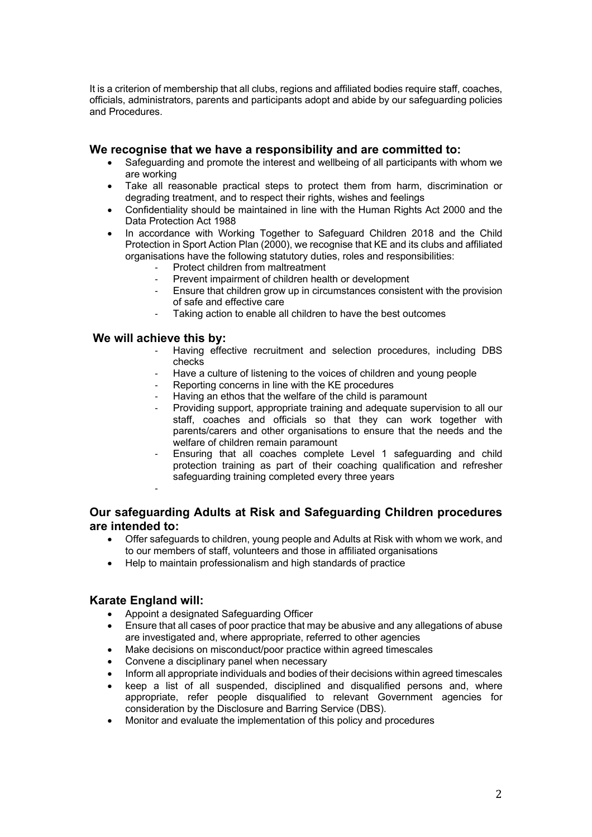It is a criterion of membership that all clubs, regions and affiliated bodies require staff, coaches, officials, administrators, parents and participants adopt and abide by our safeguarding policies and Procedures.

### **We recognise that we have a responsibility and are committed to:**

- Safeguarding and promote the interest and wellbeing of all participants with whom we are working
- Take all reasonable practical steps to protect them from harm, discrimination or degrading treatment, and to respect their rights, wishes and feelings
- Confidentiality should be maintained in line with the Human Rights Act 2000 and the Data Protection Act 1988
- In accordance with Working Together to Safeguard Children 2018 and the Child Protection in Sport Action Plan (2000), we recognise that KE and its clubs and affiliated organisations have the following statutory duties, roles and responsibilities:
	- Protect children from maltreatment
	- Prevent impairment of children health or development
	- Ensure that children grow up in circumstances consistent with the provision of safe and effective care
	- Taking action to enable all children to have the best outcomes

### **We will achieve this by:**

- Having effective recruitment and selection procedures, including DBS checks
- Have a culture of listening to the voices of children and young people
- Reporting concerns in line with the KE procedures
- Having an ethos that the welfare of the child is paramount
- Providing support, appropriate training and adequate supervision to all our staff, coaches and officials so that they can work together with parents/carers and other organisations to ensure that the needs and the welfare of children remain paramount
- Ensuring that all coaches complete Level 1 safeguarding and child protection training as part of their coaching qualification and refresher safeguarding training completed every three years

# **Our safeguarding Adults at Risk and Safeguarding Children procedures are intended to:**

- Offer safeguards to children, young people and Adults at Risk with whom we work, and to our members of staff, volunteers and those in affiliated organisations
- Help to maintain professionalism and high standards of practice

# **Karate England will:**

-

- Appoint a designated Safeguarding Officer
- Ensure that all cases of poor practice that may be abusive and any allegations of abuse are investigated and, where appropriate, referred to other agencies
- Make decisions on misconduct/poor practice within agreed timescales
- Convene a disciplinary panel when necessary
- Inform all appropriate individuals and bodies of their decisions within agreed timescales
- keep a list of all suspended, disciplined and disqualified persons and, where appropriate, refer people disqualified to relevant Government agencies for consideration by the Disclosure and Barring Service (DBS).
- Monitor and evaluate the implementation of this policy and procedures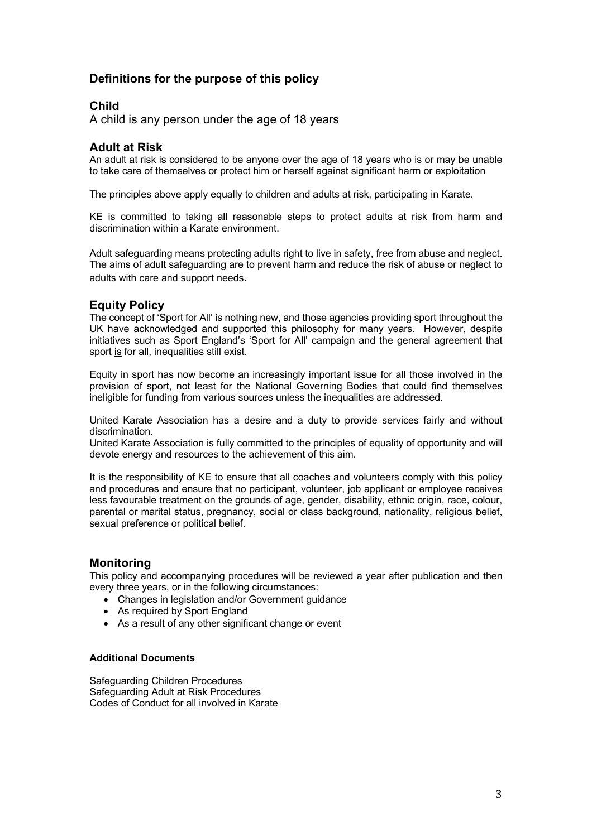# **Definitions for the purpose of this policy**

# **Child**

A child is any person under the age of 18 years

# **Adult at Risk**

An adult at risk is considered to be anyone over the age of 18 years who is or may be unable to take care of themselves or protect him or herself against significant harm or exploitation

The principles above apply equally to children and adults at risk, participating in Karate.

KE is committed to taking all reasonable steps to protect adults at risk from harm and discrimination within a Karate environment.

Adult safeguarding means protecting adults right to live in safety, free from abuse and neglect. The aims of adult safeguarding are to prevent harm and reduce the risk of abuse or neglect to adults with care and support needs.

# **Equity Policy**

The concept of 'Sport for All' is nothing new, and those agencies providing sport throughout the UK have acknowledged and supported this philosophy for many years. However, despite initiatives such as Sport England's 'Sport for All' campaign and the general agreement that sport is for all, inequalities still exist.

Equity in sport has now become an increasingly important issue for all those involved in the provision of sport, not least for the National Governing Bodies that could find themselves ineligible for funding from various sources unless the inequalities are addressed.

United Karate Association has a desire and a duty to provide services fairly and without discrimination.

United Karate Association is fully committed to the principles of equality of opportunity and will devote energy and resources to the achievement of this aim.

It is the responsibility of KE to ensure that all coaches and volunteers comply with this policy and procedures and ensure that no participant, volunteer, job applicant or employee receives less favourable treatment on the grounds of age, gender, disability, ethnic origin, race, colour, parental or marital status, pregnancy, social or class background, nationality, religious belief, sexual preference or political belief.

# **Monitoring**

This policy and accompanying procedures will be reviewed a year after publication and then every three years, or in the following circumstances:

- Changes in legislation and/or Government guidance
- As required by Sport England
- As a result of any other significant change or event

### **Additional Documents**

Safeguarding Children Procedures Safeguarding Adult at Risk Procedures Codes of Conduct for all involved in Karate